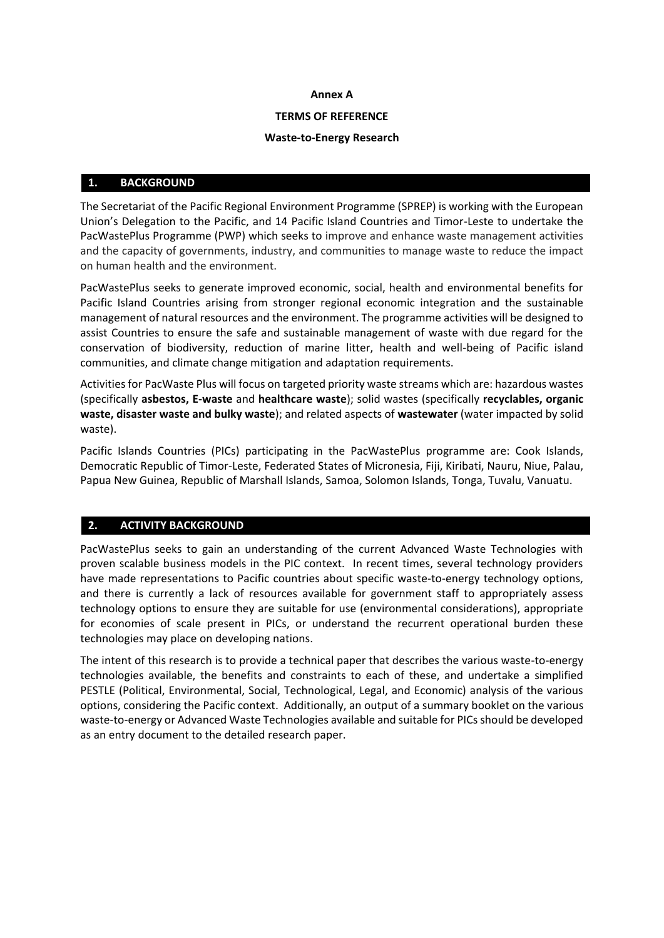#### **Annex A**

#### **TERMS OF REFERENCE**

#### **Waste-to-Energy Research**

#### **1. BACKGROUND**

The Secretariat of the Pacific Regional Environment Programme (SPREP) is working with the European Union's Delegation to the Pacific, and 14 Pacific Island Countries and Timor-Leste to undertake the PacWastePlus Programme (PWP) which seeks to improve and enhance waste management activities and the capacity of governments, industry, and communities to manage waste to reduce the impact on human health and the environment.

PacWastePlus seeks to generate improved economic, social, health and environmental benefits for Pacific Island Countries arising from stronger regional economic integration and the sustainable management of natural resources and the environment. The programme activities will be designed to assist Countries to ensure the safe and sustainable management of waste with due regard for the conservation of biodiversity, reduction of marine litter, health and well-being of Pacific island communities, and climate change mitigation and adaptation requirements.

Activities for PacWaste Plus will focus on targeted priority waste streams which are: hazardous wastes (specifically **asbestos, E-waste** and **healthcare waste**); solid wastes (specifically **recyclables, organic waste, disaster waste and bulky waste**); and related aspects of **wastewater** (water impacted by solid waste).

Pacific Islands Countries (PICs) participating in the PacWastePlus programme are: Cook Islands, Democratic Republic of Timor-Leste, Federated States of Micronesia, Fiji, Kiribati, Nauru, Niue, Palau, Papua New Guinea, Republic of Marshall Islands, Samoa, Solomon Islands, Tonga, Tuvalu, Vanuatu.

# **2. ACTIVITY BACKGROUND**

PacWastePlus seeks to gain an understanding of the current Advanced Waste Technologies with proven scalable business models in the PIC context. In recent times, several technology providers have made representations to Pacific countries about specific waste-to-energy technology options, and there is currently a lack of resources available for government staff to appropriately assess technology options to ensure they are suitable for use (environmental considerations), appropriate for economies of scale present in PICs, or understand the recurrent operational burden these technologies may place on developing nations.

The intent of this research is to provide a technical paper that describes the various waste-to-energy technologies available, the benefits and constraints to each of these, and undertake a simplified PESTLE (Political, Environmental, Social, Technological, Legal, and Economic) analysis of the various options, considering the Pacific context. Additionally, an output of a summary booklet on the various waste-to-energy or Advanced Waste Technologies available and suitable for PICs should be developed as an entry document to the detailed research paper.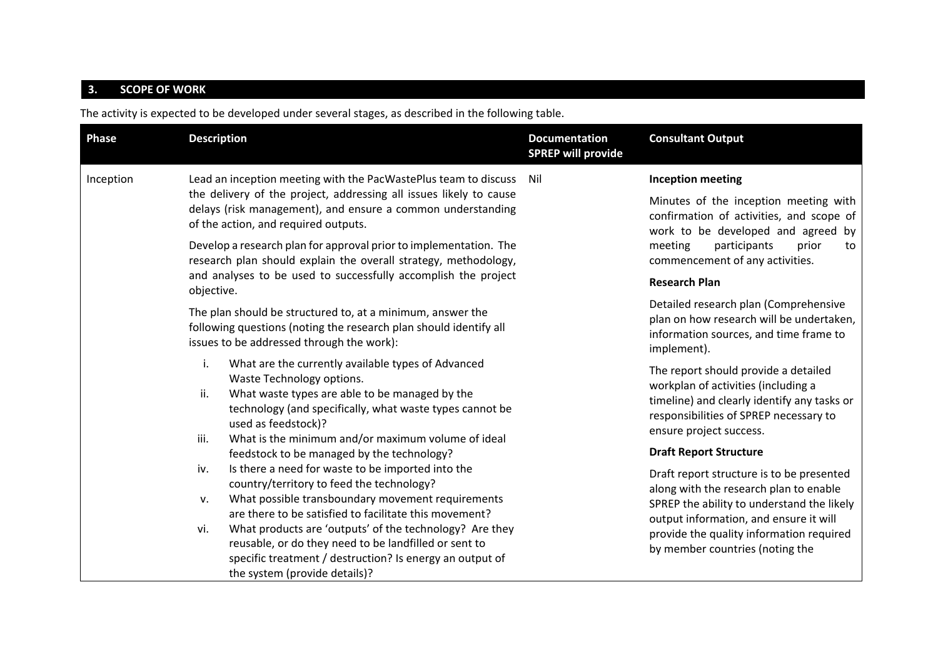# **3. SCOPE OF WORK**

The activity is expected to be developed under several stages, as described in the following table.

| Phase     | <b>Description</b>                                                                                                                                                                                                   | <b>Documentation</b><br><b>SPREP will provide</b> | <b>Consultant Output</b>                                                                                                                                                                                                                                   |
|-----------|----------------------------------------------------------------------------------------------------------------------------------------------------------------------------------------------------------------------|---------------------------------------------------|------------------------------------------------------------------------------------------------------------------------------------------------------------------------------------------------------------------------------------------------------------|
| Inception | Lead an inception meeting with the PacWastePlus team to discuss                                                                                                                                                      | Nil                                               | <b>Inception meeting</b>                                                                                                                                                                                                                                   |
|           | the delivery of the project, addressing all issues likely to cause<br>delays (risk management), and ensure a common understanding<br>of the action, and required outputs.                                            |                                                   | Minutes of the inception meeting with<br>confirmation of activities, and scope of<br>work to be developed and agreed by<br>meeting<br>participants<br>prior<br>to<br>commencement of any activities.                                                       |
|           | Develop a research plan for approval prior to implementation. The<br>research plan should explain the overall strategy, methodology,                                                                                 |                                                   |                                                                                                                                                                                                                                                            |
|           | and analyses to be used to successfully accomplish the project<br>objective.                                                                                                                                         |                                                   | <b>Research Plan</b>                                                                                                                                                                                                                                       |
|           | The plan should be structured to, at a minimum, answer the<br>following questions (noting the research plan should identify all<br>issues to be addressed through the work):                                         |                                                   | Detailed research plan (Comprehensive<br>plan on how research will be undertaken,<br>information sources, and time frame to<br>implement).                                                                                                                 |
|           | i.<br>What are the currently available types of Advanced<br>Waste Technology options.                                                                                                                                |                                                   | The report should provide a detailed<br>workplan of activities (including a<br>timeline) and clearly identify any tasks or<br>responsibilities of SPREP necessary to<br>ensure project success.                                                            |
|           | What waste types are able to be managed by the<br>ii.<br>technology (and specifically, what waste types cannot be<br>used as feedstock)?                                                                             |                                                   |                                                                                                                                                                                                                                                            |
|           | What is the minimum and/or maximum volume of ideal<br>iii.<br>feedstock to be managed by the technology?                                                                                                             |                                                   | <b>Draft Report Structure</b>                                                                                                                                                                                                                              |
|           | Is there a need for waste to be imported into the<br>iv.<br>country/territory to feed the technology?                                                                                                                |                                                   | Draft report structure is to be presented<br>along with the research plan to enable<br>SPREP the ability to understand the likely<br>output information, and ensure it will<br>provide the quality information required<br>by member countries (noting the |
|           | What possible transboundary movement requirements<br>$V_{\star}$<br>are there to be satisfied to facilitate this movement?                                                                                           |                                                   |                                                                                                                                                                                                                                                            |
|           | What products are 'outputs' of the technology? Are they<br>vi.<br>reusable, or do they need to be landfilled or sent to<br>specific treatment / destruction? Is energy an output of<br>the system (provide details)? |                                                   |                                                                                                                                                                                                                                                            |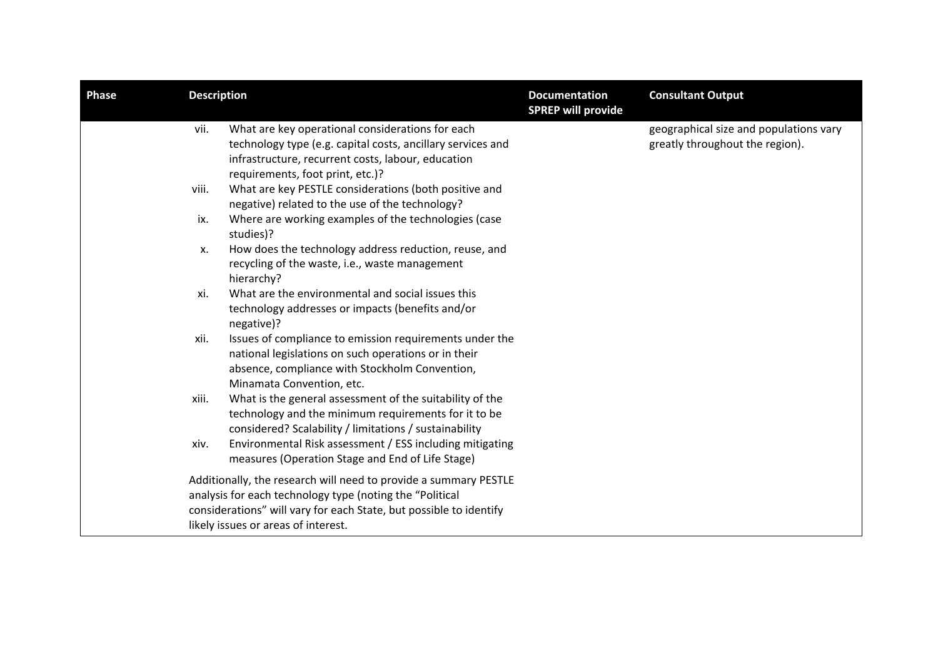| <b>Phase</b> | <b>Description</b> |                                                                                                                                                                                                                                           | <b>Documentation</b><br><b>SPREP will provide</b> | <b>Consultant Output</b>                                                  |
|--------------|--------------------|-------------------------------------------------------------------------------------------------------------------------------------------------------------------------------------------------------------------------------------------|---------------------------------------------------|---------------------------------------------------------------------------|
|              | vii.               | What are key operational considerations for each<br>technology type (e.g. capital costs, ancillary services and<br>infrastructure, recurrent costs, labour, education<br>requirements, foot print, etc.)?                                 |                                                   | geographical size and populations vary<br>greatly throughout the region). |
|              | viii.              | What are key PESTLE considerations (both positive and<br>negative) related to the use of the technology?                                                                                                                                  |                                                   |                                                                           |
|              | ix.                | Where are working examples of the technologies (case<br>studies)?                                                                                                                                                                         |                                                   |                                                                           |
|              | х.                 | How does the technology address reduction, reuse, and<br>recycling of the waste, i.e., waste management<br>hierarchy?                                                                                                                     |                                                   |                                                                           |
|              | xi.                | What are the environmental and social issues this<br>technology addresses or impacts (benefits and/or<br>negative)?                                                                                                                       |                                                   |                                                                           |
|              | xii.               | Issues of compliance to emission requirements under the<br>national legislations on such operations or in their<br>absence, compliance with Stockholm Convention,<br>Minamata Convention, etc.                                            |                                                   |                                                                           |
|              | xiii.              | What is the general assessment of the suitability of the<br>technology and the minimum requirements for it to be<br>considered? Scalability / limitations / sustainability                                                                |                                                   |                                                                           |
|              | xiv.               | Environmental Risk assessment / ESS including mitigating<br>measures (Operation Stage and End of Life Stage)                                                                                                                              |                                                   |                                                                           |
|              |                    | Additionally, the research will need to provide a summary PESTLE<br>analysis for each technology type (noting the "Political<br>considerations" will vary for each State, but possible to identify<br>likely issues or areas of interest. |                                                   |                                                                           |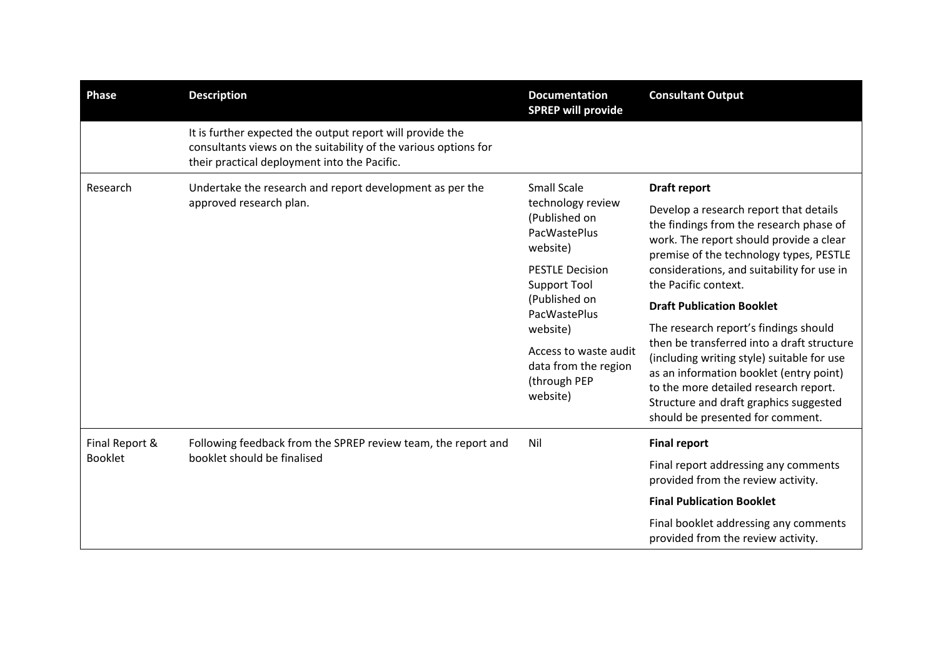| <b>Phase</b>   | <b>Description</b>                                                                                                                                                           | <b>Documentation</b><br><b>SPREP will provide</b>             | <b>Consultant Output</b>                                                                                                                                                                                                                                   |
|----------------|------------------------------------------------------------------------------------------------------------------------------------------------------------------------------|---------------------------------------------------------------|------------------------------------------------------------------------------------------------------------------------------------------------------------------------------------------------------------------------------------------------------------|
|                | It is further expected the output report will provide the<br>consultants views on the suitability of the various options for<br>their practical deployment into the Pacific. |                                                               |                                                                                                                                                                                                                                                            |
| Research       | <b>Small Scale</b><br>Undertake the research and report development as per the<br>approved research plan.<br>website)<br>(Published on<br>website)<br>website)               | technology review<br>(Published on<br>PacWastePlus            | Draft report                                                                                                                                                                                                                                               |
|                |                                                                                                                                                                              |                                                               | Develop a research report that details<br>the findings from the research phase of<br>work. The report should provide a clear<br>premise of the technology types, PESTLE                                                                                    |
|                |                                                                                                                                                                              | <b>PESTLE Decision</b><br><b>Support Tool</b>                 | considerations, and suitability for use in                                                                                                                                                                                                                 |
|                |                                                                                                                                                                              |                                                               | the Pacific context.                                                                                                                                                                                                                                       |
|                |                                                                                                                                                                              | PacWastePlus                                                  | <b>Draft Publication Booklet</b>                                                                                                                                                                                                                           |
|                |                                                                                                                                                                              |                                                               | The research report's findings should                                                                                                                                                                                                                      |
|                |                                                                                                                                                                              | Access to waste audit<br>data from the region<br>(through PEP | then be transferred into a draft structure<br>(including writing style) suitable for use<br>as an information booklet (entry point)<br>to the more detailed research report.<br>Structure and draft graphics suggested<br>should be presented for comment. |
| Final Report & | Following feedback from the SPREP review team, the report and<br>booklet should be finalised                                                                                 | Nil                                                           | <b>Final report</b>                                                                                                                                                                                                                                        |
| <b>Booklet</b> |                                                                                                                                                                              |                                                               | Final report addressing any comments<br>provided from the review activity.                                                                                                                                                                                 |
|                |                                                                                                                                                                              |                                                               | <b>Final Publication Booklet</b>                                                                                                                                                                                                                           |
|                |                                                                                                                                                                              |                                                               | Final booklet addressing any comments<br>provided from the review activity.                                                                                                                                                                                |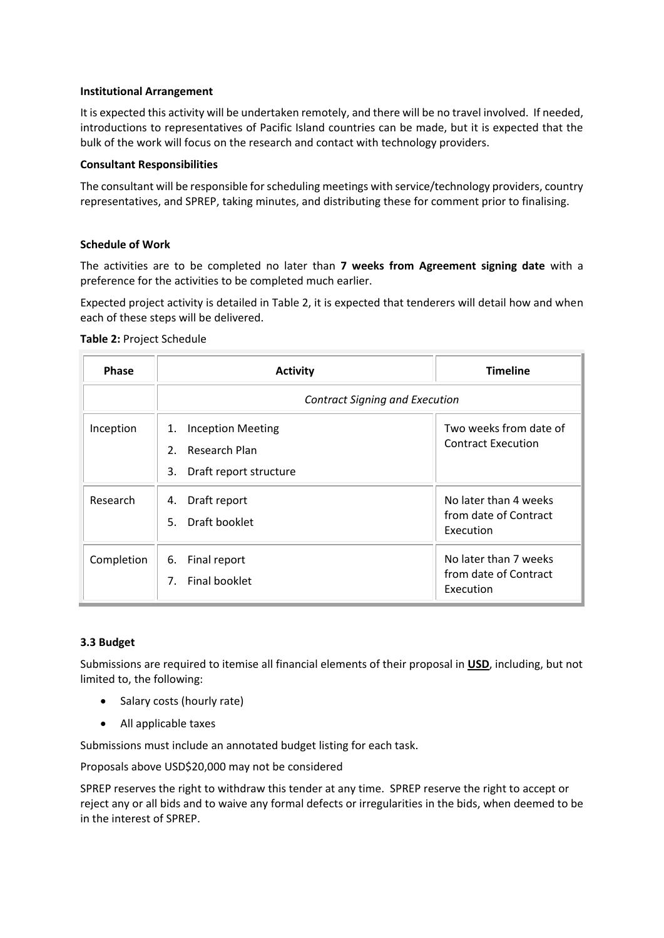### **Institutional Arrangement**

It is expected this activity will be undertaken remotely, and there will be no travel involved. If needed, introductions to representatives of Pacific Island countries can be made, but it is expected that the bulk of the work will focus on the research and contact with technology providers.

### **Consultant Responsibilities**

The consultant will be responsible for scheduling meetings with service/technology providers, country representatives, and SPREP, taking minutes, and distributing these for comment prior to finalising.

## **Schedule of Work**

The activities are to be completed no later than **7 weeks from Agreement signing date** with a preference for the activities to be completed much earlier.

Expected project activity is detailed in Table 2, it is expected that tenderers will detail how and when each of these steps will be delivered.

### **Table 2:** Project Schedule

| <b>Phase</b> | <b>Activity</b>                                                                                       | <b>Timeline</b>                                             |  |
|--------------|-------------------------------------------------------------------------------------------------------|-------------------------------------------------------------|--|
|              | <b>Contract Signing and Execution</b>                                                                 |                                                             |  |
| Inception    | <b>Inception Meeting</b><br>1.<br>$2^{\circ}$<br><b>Research Plan</b><br>3.<br>Draft report structure | Two weeks from date of<br><b>Contract Execution</b>         |  |
| Research     | Draft report<br>4.<br>Draft booklet<br>5.                                                             | No later than 4 weeks<br>from date of Contract<br>Execution |  |
| Completion   | 6.<br>Final report<br>Final booklet<br>7.                                                             | No later than 7 weeks<br>from date of Contract<br>Execution |  |

### **3.3 Budget**

Submissions are required to itemise all financial elements of their proposal in **USD**, including, but not limited to, the following:

- Salary costs (hourly rate)
- All applicable taxes

Submissions must include an annotated budget listing for each task.

Proposals above USD\$20,000 may not be considered

SPREP reserves the right to withdraw this tender at any time. SPREP reserve the right to accept or reject any or all bids and to waive any formal defects or irregularities in the bids, when deemed to be in the interest of SPREP.